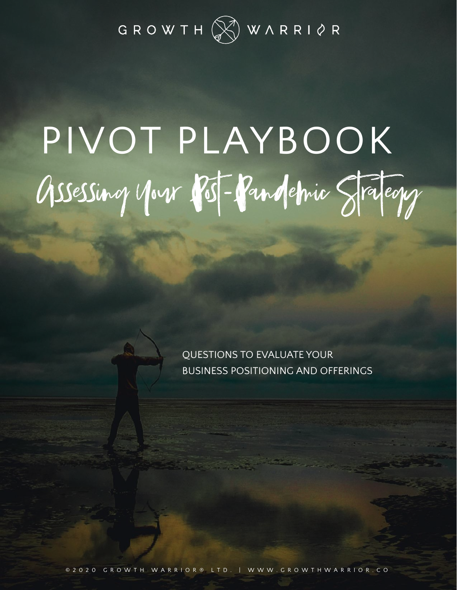

# PIVOT PLAYBOOK Assessing your Post-Pandemic Stateory

QUESTIONS TO EVALUATE YOUR BUSINESS POSITIONING AND OFFERINGS

© 2020 GROWTH WARRIOR® LTD. | WWW.GROWTHWARRIOR.CO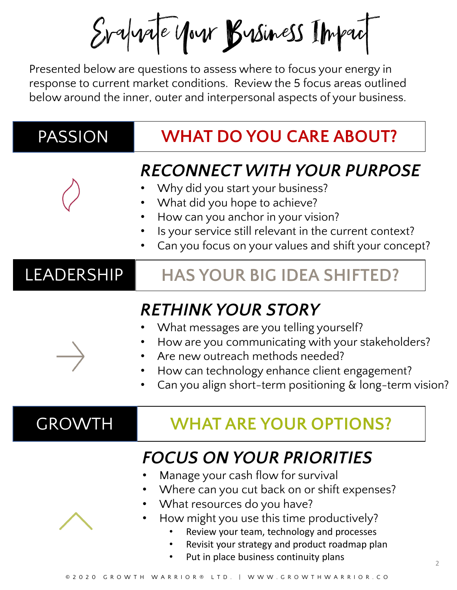Evaluate Mour Business Impact

Presented below are questions to assess where to focus your energy in response to current market conditions. Review the 5 focus areas outlined below around the inner, outer and interpersonal aspects of your business.

| PASSION       | <b>WHAT DO YOU CARE ABOUT?</b>                                                                                                                                                                                                                                             |
|---------------|----------------------------------------------------------------------------------------------------------------------------------------------------------------------------------------------------------------------------------------------------------------------------|
|               | <b>RECONNECT WITH YOUR PURPOSE</b><br>Why did you start your business?<br>What did you hope to achieve?<br>How can you anchor in your vision?<br>Is your service still relevant in the current context?<br>Can you focus on your values and shift your concept?            |
| LEADERSHIP    | <b>HAS YOUR BIG IDEA SHIFTED?</b>                                                                                                                                                                                                                                          |
|               | <b>RETHINK YOUR STORY</b><br>What messages are you telling yourself?<br>How are you communicating with your stakeholders?<br>Are new outreach methods needed?<br>How can technology enhance client engagement?<br>Can you align short-term positioning & long-term vision? |
| <b>GROWTH</b> | <b>WHAT ARE YOUR OPTIONS?</b>                                                                                                                                                                                                                                              |
|               | <b>FOCUS ON YOUR PRIORITIES</b><br>Manage your cash flow for survival<br>Where can you cut back on or shift expenses?<br>What resources do you have?<br>How might you use this time productively?                                                                          |

- Review your team, technology and processes
- Revisit your strategy and product roadmap plan
- Put in place business continuity plans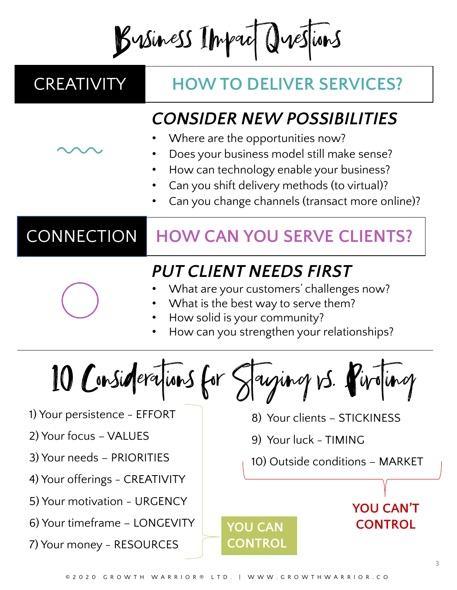Business Impact Questions

## CREATIVITY **HOW TO DELIVER SERVICES?**

#### *CONSIDER NEW POSSIBILITIES*

- Where are the opportunities now?
- Does your business model still make sense?
- How can technology enable your business?
- Can you shift delivery methods (to virtual)?
- Can you change channels (transact more online)?

# CONNECTION **HOW CAN YOU SERVE CLIENTS?**

## *PUT CLIENT NEEDS FIRST*

- What are your customers' challenges now?
- What is the best way to serve them?
- How solid is your community?
- How can you strengthen your relationships?

10 Considerations for Saying vs. Piroting

- 1) Your persistence EFFORT
- 2) Your focus VALUES
- 3) Your needs PRIORITIES
- 4) Your offerings CREATIVITY
- 5) Your motivation URGENCY
- 6) Your timeframe LONGEVITY
- 7) Your money RESOURCES
- 8) Your clients STICKINESS
- 9) Your luck TIMING
- 10) Outside conditions MARKET

**YOU CAN'T** 

**CONTROL**

**YOU CAN** 

**CONTROL**